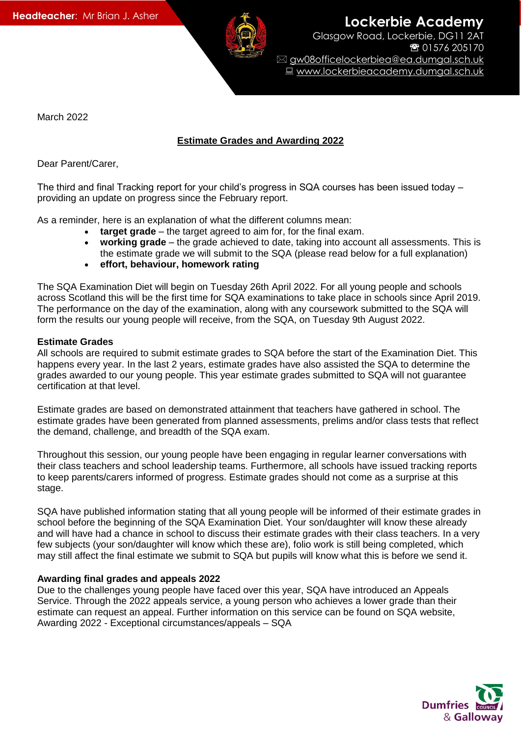

March 2022

# **Estimate Grades and Awarding 2022**

Dear Parent/Carer,

The third and final Tracking report for your child's progress in SQA courses has been issued today – providing an update on progress since the February report.

As a reminder, here is an explanation of what the different columns mean:

- **target grade** the target agreed to aim for, for the final exam.
- **working grade** the grade achieved to date, taking into account all assessments. This is the estimate grade we will submit to the SQA (please read below for a full explanation)
- **effort, behaviour, homework rating**

The SQA Examination Diet will begin on Tuesday 26th April 2022. For all young people and schools across Scotland this will be the first time for SQA examinations to take place in schools since April 2019. The performance on the day of the examination, along with any coursework submitted to the SQA will form the results our young people will receive, from the SQA, on Tuesday 9th August 2022.

# **Estimate Grades**

All schools are required to submit estimate grades to SQA before the start of the Examination Diet. This happens every year. In the last 2 years, estimate grades have also assisted the SQA to determine the grades awarded to our young people. This year estimate grades submitted to SQA will not guarantee certification at that level.

Estimate grades are based on demonstrated attainment that teachers have gathered in school. The estimate grades have been generated from planned assessments, prelims and/or class tests that reflect the demand, challenge, and breadth of the SQA exam.

Throughout this session, our young people have been engaging in regular learner conversations with their class teachers and school leadership teams. Furthermore, all schools have issued tracking reports to keep parents/carers informed of progress. Estimate grades should not come as a surprise at this stage.

SQA have published information stating that all young people will be informed of their estimate grades in school before the beginning of the SQA Examination Diet. Your son/daughter will know these already and will have had a chance in school to discuss their estimate grades with their class teachers. In a very few subjects (your son/daughter will know which these are), folio work is still being completed, which may still affect the final estimate we submit to SQA but pupils will know what this is before we send it.

# **Awarding final grades and appeals 2022**

Due to the challenges young people have faced over this year, SQA have introduced an Appeals Service. Through the 2022 appeals service, a young person who achieves a lower grade than their estimate can request an appeal. Further information on this service can be found on SQA website, Awarding 2022 - Exceptional circumstances/appeals – SQA